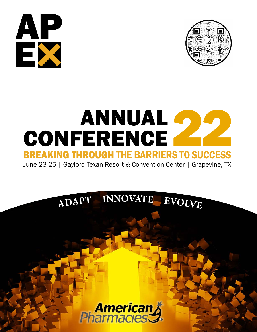



# ANNUAL **4** CONFERENCE ANNUAL<br>
CONFERENCE<br>
BREAKING THROUGH THE BARRIERS TO SUCCESS

June 23-25 | Gaylord Texan Resort & Convention Center | Grapevine, TX



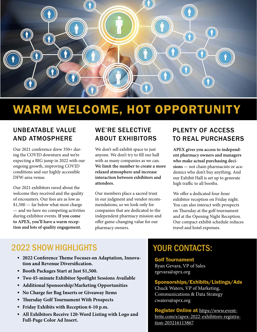

# WARM WELCOME, HOT OPPORTUNITY

## UNBEATABLE VALUE AND ATMOSPHERE

Our 2021 conference drew 350+ during the COVID downturn and we're expecting a BIG jump in 2022 with our ongoing growth, improving COVID conditions and our highly accessible DFW-area venue.

Our 2021 exhibitors raved about the welcome they received and the quality of encounters. Our fees are as low as  $$1,500$  – far below what most charge –– and we have no competing activities during exhibitor events. **If you come to APEX, you'll have a warm reception and lots of quality engagement.**

# WE'RE SELECTIVE ABOUT EXHIBITORS

We don't sell exhibit space to just anyone. We don't try to fill our hall with as many companies as we can. **We limit the number to create a more relaxed atmosphere and increase interaction between exhibitors and attendees.**

Our members place a sacred trust in our judgment and vendor recommendations, so we look only for companies that are dedicated to the independent pharmacy mission and offer game-changing value for our pharmacy owners.

# PLENTY OF ACCESS TO REAL PURCHASERS

**APEX gives you access to independent pharmacy owners and managers who make actual purchasing decisions** –– not chain pharmacists or academics who don't buy anything. And our Exhibit Hall is set up to generate high traffic to all booths.

We offer a dedicated four-hour exhibitor reception on Friday night. You can also interact with prospects on Thursday at the golf tournament and at the Opening Night Reception. Our compact exhibit schedule reduces travel and hotel expenses.

# **2022 SHOW HIGHLIGHTS NOW YOUR CONTACTS:**

- **2022 Conference Theme Focuses on Adaptation, Innovation and Revenue Diversification.**
- **Booth Packages Start at Just \$1,500.**
- **Two 45-minute Exhibitor Spotlight Sessions Available**
- **Additional Sponsorship/Marketing Opportunities**
- **No Charge for Bag Inserts or Giveaway Items**
- **Thursday Golf Tournament With Prospects**
- **Friday Exhibits with Reception 6-10 p.m.**
- **All Exhibitors Receive 120-Word Listing with Logo and Full-Page Color Ad Insert.**

#### Golf Tournament

Ryan Gevara, VP of Sales rgevara@aprx.org

#### Sponsorships/Exhibits/Listings/Ads

Chuck Waters, VP of Marketing, Communications & Data Strategy cwaters@aprx.org

Register Online at [https://www.event](https://www.eventbrite.com/e/apex-2022-exhibitors-registration-203216113867)[brite.com/e/apex-2022-exhibitors-registra](https://www.eventbrite.com/e/apex-2022-exhibitors-registration-203216113867)[tion-203216113867](https://www.eventbrite.com/e/apex-2022-exhibitors-registration-203216113867)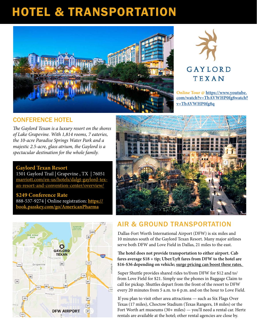# HOTEL & TRANSPORTATION





**Online Tour @ [https://www.youtube.](https://www.youtube.com/watch?v=TbAVWHP0fg8watch?v=TbAVWHP0fg8q) [com/watch?v=TbAVWHP0fg8watch?](https://www.youtube.com/watch?v=TbAVWHP0fg8watch?v=TbAVWHP0fg8q) [v=TbAVWHP0fg8q](https://www.youtube.com/watch?v=TbAVWHP0fg8watch?v=TbAVWHP0fg8q)** 

### CONFERENCE HOTEL

*The Gaylord Texan is a luxury resort on the shores of Lake Grapevine. With 1,814 rooms, 7 eateries, the 10-acre Paradise Springs Water Park and a majestic 2.5-acre, glass atrium, the Gaylord is a spectacular destination for the whole family.*

#### **Gaylord Texan Resort**

1501 Gaylord Trail | Grapevine , TX | 76051 [marriott.com/en-us/hotels/dalgt-gaylord-tex](http://marriott.com/en-us/hotels/dalgt-gaylord-texan-resort-and-convention-center/overview/ )[an-resort-and-convention-center/overview/](http://marriott.com/en-us/hotels/dalgt-gaylord-texan-resort-and-convention-center/overview/ )

#### **\$249 Conference Rate**

888-537-9274 | Online registration: **[https://](https://book.passkey.com/go/AmericanPharma) [book.passkey.com/go/AmericanPharma](https://book.passkey.com/go/AmericanPharma)**





### AIR & GROUND TRANSPORTATION

Dallas-Fort Worth International Airport (DFW) is six miles and 10 minutes south of the Gaylord Texan Resort. Many major airlines serve both DFW and Love Field in Dallas, 21 miles to the east.

**The hotel does not provide transportation to either airport. Cab fares average \$18 + tip; Uber/Lyft fares from DFW to the hotel are \$16-\$36 depending on vehicle; surge pricing can boost these rates.** 

Super Shuttle provides shared rides to/from DFW for \$12 and to/ from Love Field for \$21. Simply use the phones in Baggage Claim to call for pickup. Shuttles depart from the front of the resort to DFW every 20 minutes from 5 a.m. to 6 p.m. and on the hour to Love Field.

If you plan to visit other area attractions –– such as Six Flags Over Texas (17 miles), Choctow Stadium (Texas Rangers, 18 miles) or the Fort Worth art museums (30+ miles) –– you'll need a rental car. Hertz rentals are available at the hotel; other rental agencies are close by.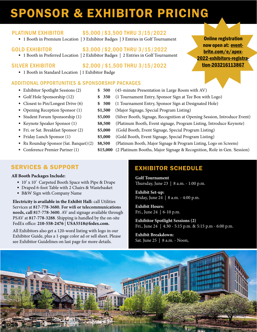# SPONSOR & EXHIBITOR PRICING

### PLATINUM EXHIBITOR \$5,000 /\$3,500 THRU 3 /15 /2022

■ 1 Booth in Premium Location | 3 Exhibitor Badges | 3 Entries in Golf Tournament

### GOLD EXHIBITOR \$3,000 /\$2,000 THRU 3 /15 /2022

■ 1 Booth in Preferred Location | 2 Exhibitor Badges | 2 Entries in Golf Tournament

- SILVER EXHIBITOR \$2,000 /\$1,500 THRU 3/15 /2022
	- 1 Booth in Standard Location | 1 Exhibitor Badge

### ADDITIONAL OPPORTUNITIES & SPONSORSHIP PACKAGES

- Exhibitor Spotlight Sessions (2) **\$500** (45-minute Presentation in Large Room with AV)
- 
- 
- 
- 
- 
- 
- 
- 
- 
- Golf Hole Sponsorship (12) **\$ 350** (1 Tournament Entry, Sponsor Sign at Tee Box with Logo)
- Closest to Pin/Longest Drive (6) **\$500** (1 Tournament Entry, Sponsor Sign at Designated Hole)
- Opening Reception Sponsor (1) **\$1,500** (Major Signage, Special Program Listing)
- Student Forum Sponsorship (1) **\$5,000** (Silver Booth, Signage, Recognition at Opening Session, Introduce Event)
- Keynote Speaker Sponsor (1) **\$8,500** (Platinum Booth, Event signage, Program Listing, Introduce Keynote)
- Fri. or Sat. Breakfast Sponsor (2) **\$5,000** (Gold Booth, Event Signage, Special Program Listing)
- Friday Lunch Sponsor (1) **\$5,000** (Gold Booth, Event Signage, Special Program Listing)
- Rx Roundup Sponsor (Sat. Banquet) (2) **\$8,500** (Platinum Booth, Major Signage & Program Listing, Logo on Screens)
- Conference Premier Partner (1) **\$15,000** (2 Platinum Booths, Major Signage & Recognition, Role in Gen. Session)

## SERVICES & SUPPORT

#### **All Booth Packages Include:**

- 10' x 10' Carpeted Booth Space with Pipe & Drape
- Draped 6-foot Table with 2 Chairs & Wastebasket
- B&W Sign with Company Name

**Electricity is available in the Exhibit Hall:** call Utilities Services at **817-778-3680. For wifi or telecommunications needs, call 817-778-3600**. AV and signage available through PSAV at **817-778-3288**. Shipping is handled by the on-site FedEx office: **210-558-2476** | **USA5518@fedex.com.**

All Exhibitors also get a 120-word listing with logo in our Exhibitor Guide, plus a 1-page color ad or sell sheet. Please see Exhibitor Guidelines on last page for more details.

# EXHIBITOR SCHEDULE

**Golf Tournament**  Thursday, June 23 | 8 a.m. - 1:00 p.m.

**Exhibit Set-up:** Friday, June 24 | 8 a.m. - 4:00 p.m.

**Exhibit Hours:** Fri., June 24 | 6-10 p.m.

**Exhibitor Spotlight Sessions (2)** Fri., June 24 | 4:30 - 5:15 p.m. & 5:15 p.m - 6:00 p.m.

**Exhibit Breakdown:** Sat. June 25 | 8 a.m. - Noon,



Online registration<br>
now open at: <u>event-<br>
brite.com/e/apex-</u><br>
2022-exhibitors-registra-<br>
tion-203216113867 Online registration now open at: eventbrite.com/e/apex-2022-exhibitors-registration-203216113867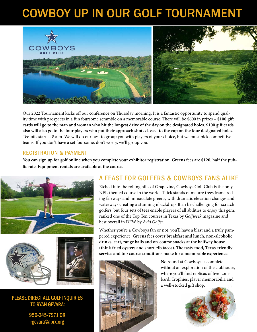# COWBOY UP IN OUR GOLF TOURNAMENT



Our 2022 Tournament kicks off our conference on Thursday morning. It is a fantastic opportunity to spend quality time with prospects in a fun foursome scramble on a memorable course. There will be \$600 in prizes – **\$100 gift cards will go to the man and woman who hit the longest drive of the day on the designated holes. \$100 gift cards also will also go to the four players who put their approach shots closest to the cup on the four designated holes.** Tee-offs start at 8 a.m. We will do our best to group you with players of your choice, but we must pick competitive teams. If you don't have a set foursome, don't worry, we'll group you.

#### REGISTRATION & PAYMENT

**You can sign up for golf online when you complete your exhibitor registration. Greens fees are \$120, half the public rate. Equipment rentals are available at the course.**







PLEASE DIRECT ALL GOLF INQUIRIES TO RYAN GEVARA:

> 956-245-7971 OR rgevara@aprx.org

## A FEAST FOR GOLFERS & COWBOYS FANS ALIKE

Etched into the rolling hills of Grapevine, Cowboys Golf Club is the only NFL-themed course in the world. Thick stands of mature trees frame rolling fairways and immaculate greens, with dramatic elevation changes and waterways creating a stunning nbackdrop. It an be challenging for scratch golfers, but four sets of tees enable players of all abilities to enjoy this gem, ranked one of the Top Ten courses in Texas by *Golfweek* magazine and best overall in DFW by *Avid Golfer*.

Whether you're a Cowboys fan or not, you'll have a blast and a truly pampered experience. **Greens fees cover breakfast and lunch, non-alcoholic drinks, cart, range balls and on-course snacks at the halfway house (think fried oysters and short-rib tacos). The tasty food, Texas-friendly service and top course conditions make for a memorable experience.**



No round at Cowboys is complete without an exploration of the clubhouse, where you'll find replicas of five Lombardi Trophies, player memorabilia and a well-stocked gift shop.